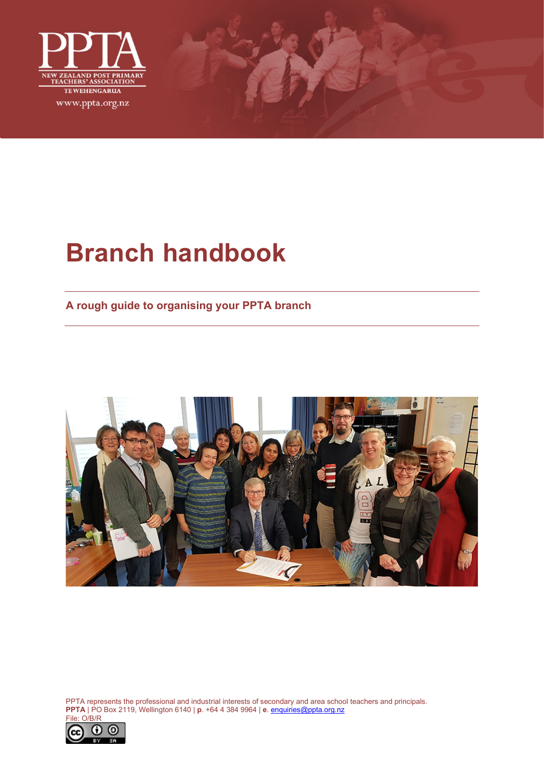

# **Branch handbook**

**A rough guide to organising your PPTA branch**



PPTA represents the professional and industrial interests of secondary and area school teachers and principals. **PPTA** | PO Box 2119, Wellington 6140 | **p**. +64 4 384 9964 | **e**[. enquiries@ppta.org.nz](mailto:enquiries@ppta.org.nz)

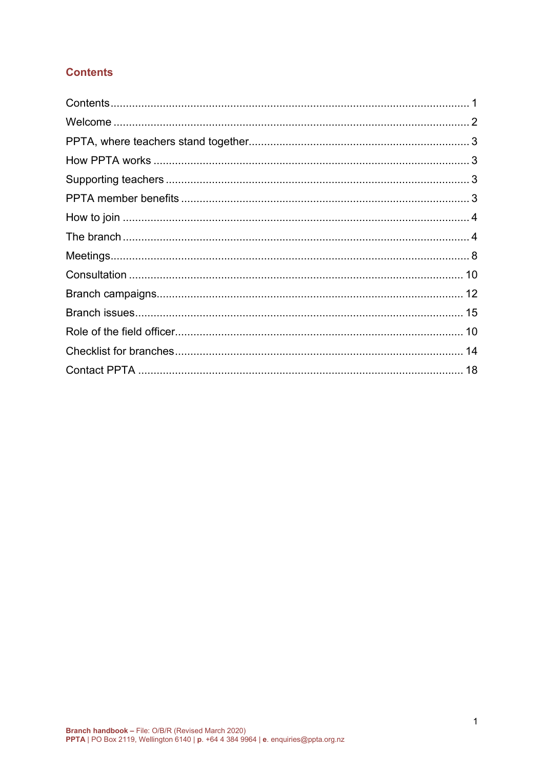# <span id="page-1-0"></span>**Contents**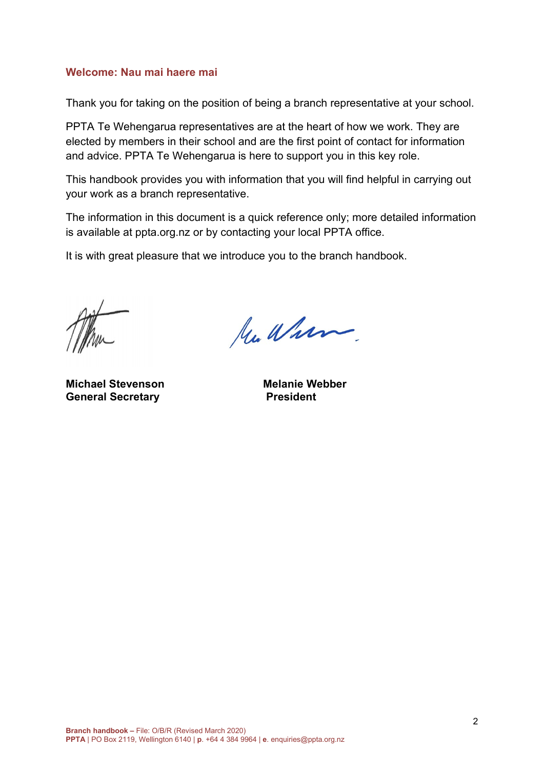### <span id="page-2-0"></span>**Welcome: Nau mai haere mai**

Thank you for taking on the position of being a branch representative at your school.

PPTA Te Wehengarua representatives are at the heart of how we work. They are elected by members in their school and are the first point of contact for information and advice. PPTA Te Wehengarua is here to support you in this key role.

This handbook provides you with information that you will find helpful in carrying out your work as a branch representative.

The information in this document is a quick reference only; more detailed information is available at ppta.org.nz or by contacting your local PPTA office.

It is with great pleasure that we introduce you to the branch handbook.

**Michael Stevenson Melanie Webber**<br> **General Secretary Melanie Webber General Secretary** 

Mu Wham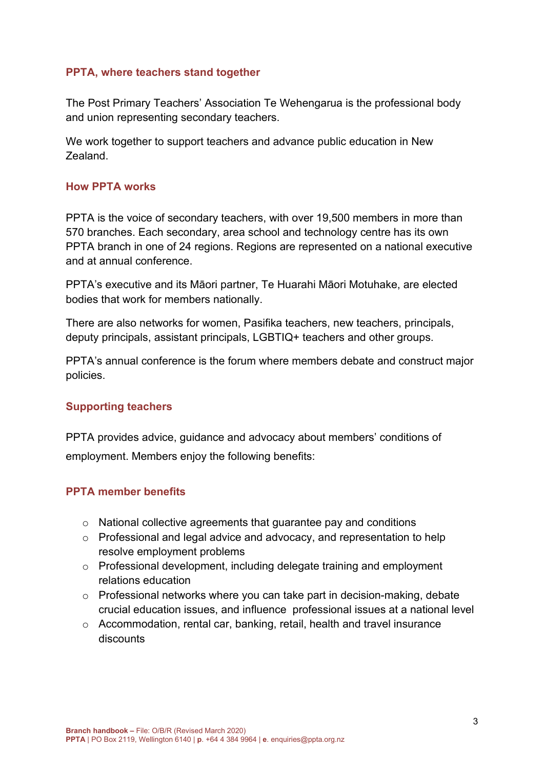### <span id="page-3-0"></span>**PPTA, where teachers stand together**

The Post Primary Teachers' Association Te Wehengarua is the professional body and union representing secondary teachers.

We work together to support teachers and advance public education in New Zealand.

### <span id="page-3-1"></span>**How PPTA works**

PPTA is the voice of secondary teachers, with over 19,500 members in more than 570 branches. Each secondary, area school and technology centre has its own PPTA branch in one of 24 regions. Regions are represented on a national executive and at annual conference.

PPTA's executive and its Māori partner, Te Huarahi Māori Motuhake, are elected bodies that work for members nationally.

There are also networks for women, Pasifika teachers, new teachers, principals, deputy principals, assistant principals, LGBTIQ+ teachers and other groups.

PPTA's annual conference is the forum where members debate and construct major policies.

### <span id="page-3-2"></span>**Supporting teachers**

PPTA provides advice, guidance and advocacy about members' conditions of employment. Members enjoy the following benefits:

### <span id="page-3-3"></span>**PPTA member benefits**

- o National collective agreements that guarantee pay and conditions
- o Professional and legal advice and advocacy, and representation to help resolve employment problems
- o Professional development, including delegate training and employment relations education
- o Professional networks where you can take part in decision-making, debate crucial education issues, and influence professional issues at a national level
- o Accommodation, rental car, banking, retail, health and travel insurance discounts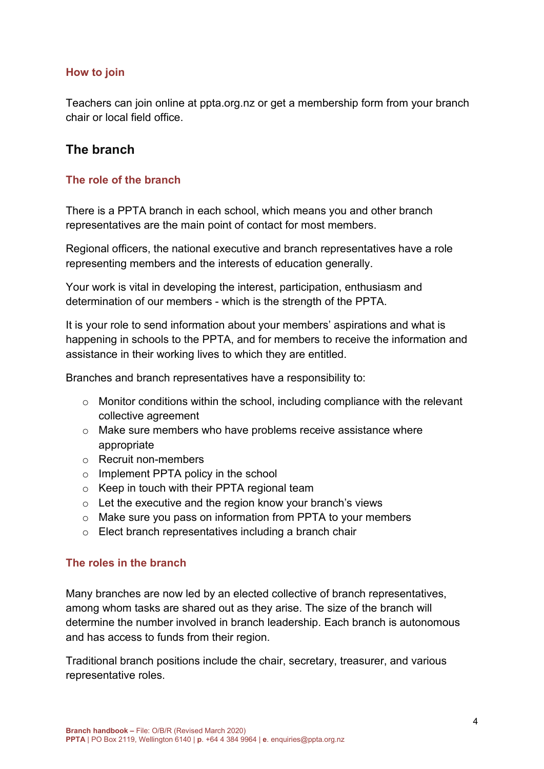### <span id="page-4-0"></span>**How to join**

Teachers can join online at ppta.org.nz or get a membership form from your branch chair or local field office.

# <span id="page-4-1"></span>**The branch**

### **The role of the branch**

There is a PPTA branch in each school, which means you and other branch representatives are the main point of contact for most members.

Regional officers, the national executive and branch representatives have a role representing members and the interests of education generally.

Your work is vital in developing the interest, participation, enthusiasm and determination of our members - which is the strength of the PPTA.

It is your role to send information about your members' aspirations and what is happening in schools to the PPTA, and for members to receive the information and assistance in their working lives to which they are entitled.

Branches and branch representatives have a responsibility to:

- o Monitor conditions within the school, including compliance with the relevant collective agreement
- o Make sure members who have problems receive assistance where appropriate
- o Recruit non-members
- o Implement PPTA policy in the school
- o Keep in touch with their PPTA regional team
- o Let the executive and the region know your branch's views
- o Make sure you pass on information from PPTA to your members
- o Elect branch representatives including a branch chair

### **The roles in the branch**

Many branches are now led by an elected collective of branch representatives, among whom tasks are shared out as they arise. The size of the branch will determine the number involved in branch leadership. Each branch is autonomous and has access to funds from their region.

Traditional branch positions include the chair, secretary, treasurer, and various representative roles.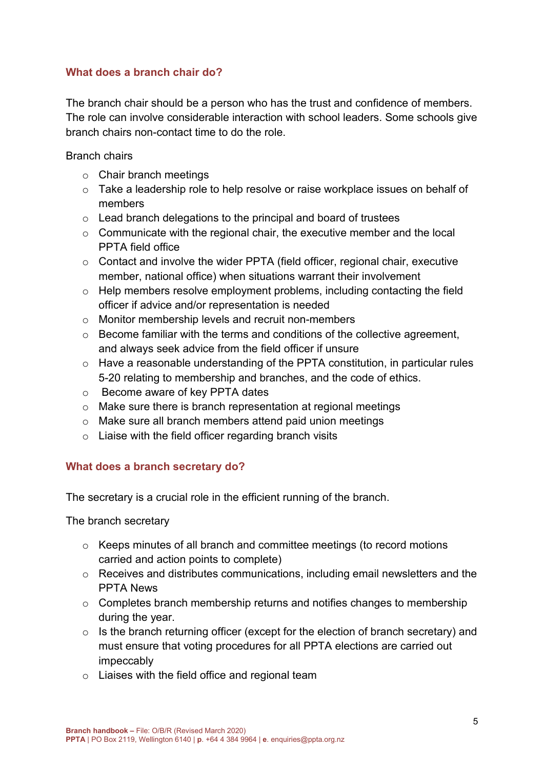### **What does a branch chair do?**

The branch chair should be a person who has the trust and confidence of members. The role can involve considerable interaction with school leaders. Some schools give branch chairs non-contact time to do the role.

Branch chairs

- o Chair branch meetings
- o Take a leadership role to help resolve or raise workplace issues on behalf of members
- o Lead branch delegations to the principal and board of trustees
- o Communicate with the regional chair, the executive member and the local PPTA field office
- o Contact and involve the wider PPTA (field officer, regional chair, executive member, national office) when situations warrant their involvement
- o Help members resolve employment problems, including contacting the field officer if advice and/or representation is needed
- o Monitor membership levels and recruit non-members
- o Become familiar with the terms and conditions of the collective agreement, and always seek advice from the field officer if unsure
- $\circ$  Have a reasonable understanding of the PPTA constitution, in particular rules 5-20 relating to membership and branches, and the code of ethics.
- o Become aware of key PPTA dates
- o Make sure there is branch representation at regional meetings
- o Make sure all branch members attend paid union meetings
- $\circ$  Liaise with the field officer regarding branch visits

### **What does a branch secretary do?**

The secretary is a crucial role in the efficient running of the branch.

The branch secretary

- o Keeps minutes of all branch and committee meetings (to record motions carried and action points to complete)
- o Receives and distributes communications, including email newsletters and the PPTA News
- o Completes branch membership returns and notifies changes to membership during the year.
- $\circ$  Is the branch returning officer (except for the election of branch secretary) and must ensure that voting procedures for all PPTA elections are carried out impeccably
- $\circ$  Liaises with the field office and regional team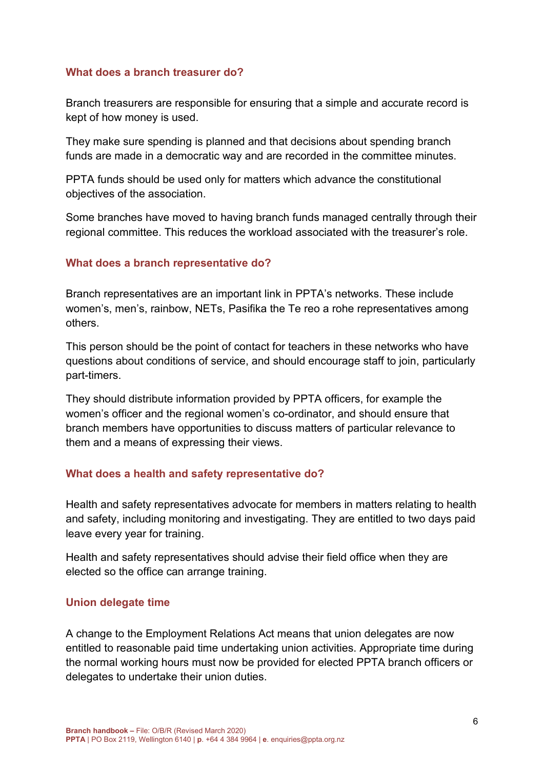### **What does a branch treasurer do?**

Branch treasurers are responsible for ensuring that a simple and accurate record is kept of how money is used.

They make sure spending is planned and that decisions about spending branch funds are made in a democratic way and are recorded in the committee minutes.

PPTA funds should be used only for matters which advance the constitutional objectives of the association.

Some branches have moved to having branch funds managed centrally through their regional committee. This reduces the workload associated with the treasurer's role.

### **What does a branch representative do?**

Branch representatives are an important link in PPTA's networks. These include women's, men's, rainbow, NETs, Pasifika the Te reo a rohe representatives among others.

This person should be the point of contact for teachers in these networks who have questions about conditions of service, and should encourage staff to join, particularly part-timers.

They should distribute information provided by PPTA officers, for example the women's officer and the regional women's co-ordinator, and should ensure that branch members have opportunities to discuss matters of particular relevance to them and a means of expressing their views.

### **What does a health and safety representative do?**

Health and safety representatives advocate for members in matters relating to health and safety, including monitoring and investigating. They are entitled to two days paid leave every year for training.

Health and safety representatives should advise their field office when they are elected so the office can arrange training.

### **Union delegate time**

A change to the Employment Relations Act means that union delegates are now entitled to reasonable paid time undertaking union activities. Appropriate time during the normal working hours must now be provided for elected PPTA branch officers or delegates to undertake their union duties.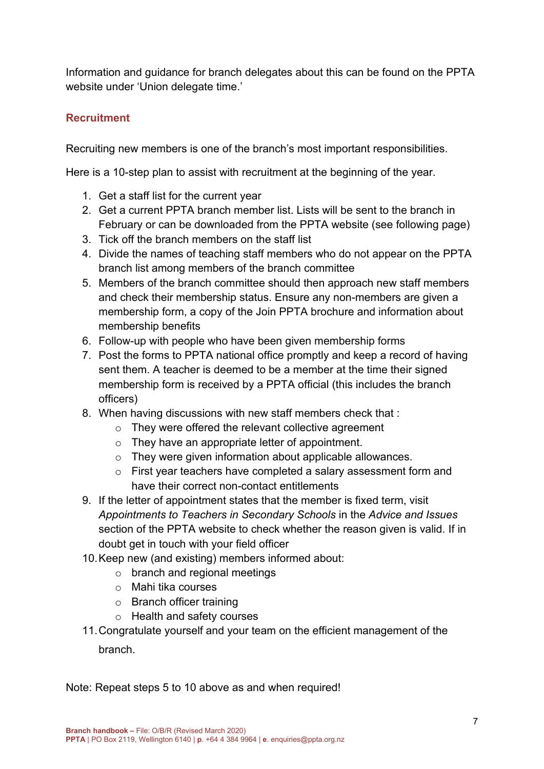Information and guidance for branch delegates about this can be found on the PPTA website under 'Union delegate time.'

# **Recruitment**

Recruiting new members is one of the branch's most important responsibilities.

Here is a 10-step plan to assist with recruitment at the beginning of the year.

- 1. Get a staff list for the current year
- 2. Get a current PPTA branch member list. Lists will be sent to the branch in February or can be downloaded from the PPTA website (see following page)
- 3. Tick off the branch members on the staff list
- 4. Divide the names of teaching staff members who do not appear on the PPTA branch list among members of the branch committee
- 5. Members of the branch committee should then approach new staff members and check their membership status. Ensure any non-members are given a membership form, a copy of the Join PPTA brochure and information about membership benefits
- 6. Follow-up with people who have been given membership forms
- 7. Post the forms to PPTA national office promptly and keep a record of having sent them. A teacher is deemed to be a member at the time their signed membership form is received by a PPTA official (this includes the branch officers)
- 8. When having discussions with new staff members check that :
	- o They were offered the relevant collective agreement
	- o They have an appropriate letter of appointment.
	- o They were given information about applicable allowances.
	- o First year teachers have completed a salary assessment form and have their correct non-contact entitlements
- 9. If the letter of appointment states that the member is fixed term, visit *Appointments to Teachers in Secondary Schools* in the *Advice and Issues* section of the PPTA website to check whether the reason given is valid. If in doubt get in touch with your field officer
- 10.Keep new (and existing) members informed about:
	- o branch and regional meetings
	- o Mahi tika courses
	- o Branch officer training
	- o Health and safety courses
- 11.Congratulate yourself and your team on the efficient management of the branch.

Note: Repeat steps 5 to 10 above as and when required!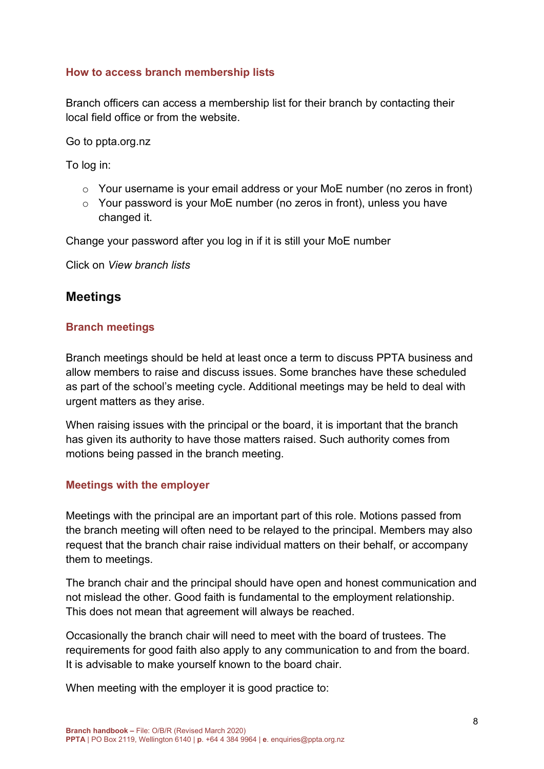### **How to access branch membership lists**

Branch officers can access a membership list for their branch by contacting their local field office or from the website.

Go to ppta.org.nz

To log in:

- o Your username is your email address or your MoE number (no zeros in front)
- o Your password is your MoE number (no zeros in front), unless you have changed it.

Change your password after you log in if it is still your MoE number

Click on *View branch lists*

# <span id="page-8-0"></span>**Meetings**

### **Branch meetings**

Branch meetings should be held at least once a term to discuss PPTA business and allow members to raise and discuss issues. Some branches have these scheduled as part of the school's meeting cycle. Additional meetings may be held to deal with urgent matters as they arise.

When raising issues with the principal or the board, it is important that the branch has given its authority to have those matters raised. Such authority comes from motions being passed in the branch meeting.

### **Meetings with the employer**

Meetings with the principal are an important part of this role. Motions passed from the branch meeting will often need to be relayed to the principal. Members may also request that the branch chair raise individual matters on their behalf, or accompany them to meetings.

The branch chair and the principal should have open and honest communication and not mislead the other. Good faith is fundamental to the employment relationship. This does not mean that agreement will always be reached.

Occasionally the branch chair will need to meet with the board of trustees. The requirements for good faith also apply to any communication to and from the board. It is advisable to make yourself known to the board chair.

When meeting with the employer it is good practice to: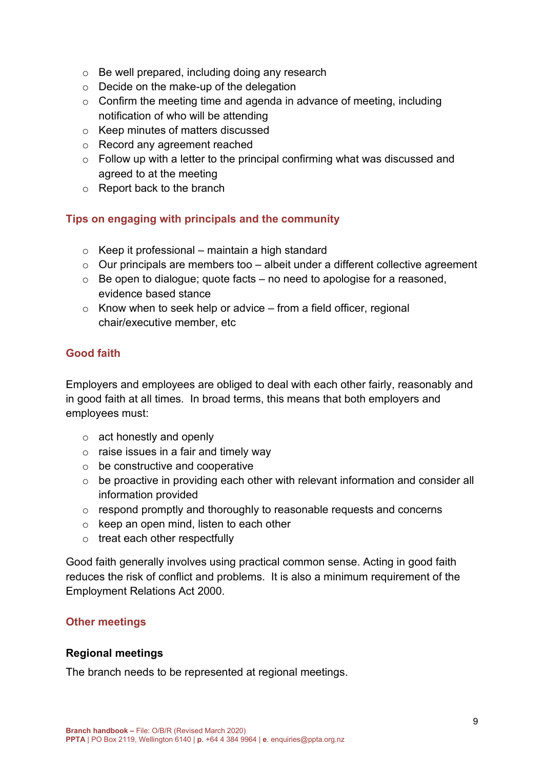- o Be well prepared, including doing any research
- o Decide on the make-up of the delegation
- $\circ$  Confirm the meeting time and agenda in advance of meeting, including notification of who will be attending
- o Keep minutes of matters discussed
- o Record any agreement reached
- $\circ$  Follow up with a letter to the principal confirming what was discussed and agreed to at the meeting
- o Report back to the branch

### **Tips on engaging with principals and the community**

- $\circ$  Keep it professional maintain a high standard
- $\circ$  Our principals are members too albeit under a different collective agreement
- $\circ$  Be open to dialogue; quote facts no need to apologise for a reasoned, evidence based stance
- $\circ$  Know when to seek help or advice from a field officer, regional chair/executive member, etc

## **Good faith**

Employers and employees are obliged to deal with each other fairly, reasonably and in good faith at all times. In broad terms, this means that both employers and employees must:

- o act honestly and openly
- $\circ$  raise issues in a fair and timely way
- $\circ$  be constructive and cooperative
- $\circ$  be proactive in providing each other with relevant information and consider all information provided
- o respond promptly and thoroughly to reasonable requests and concerns
- o keep an open mind, listen to each other
- $\circ$  treat each other respectfully

Good faith generally involves using practical common sense. Acting in good faith reduces the risk of conflict and problems. It is also a minimum requirement of the Employment Relations Act 2000.

### **Other meetings**

### **Regional meetings**

The branch needs to be represented at regional meetings.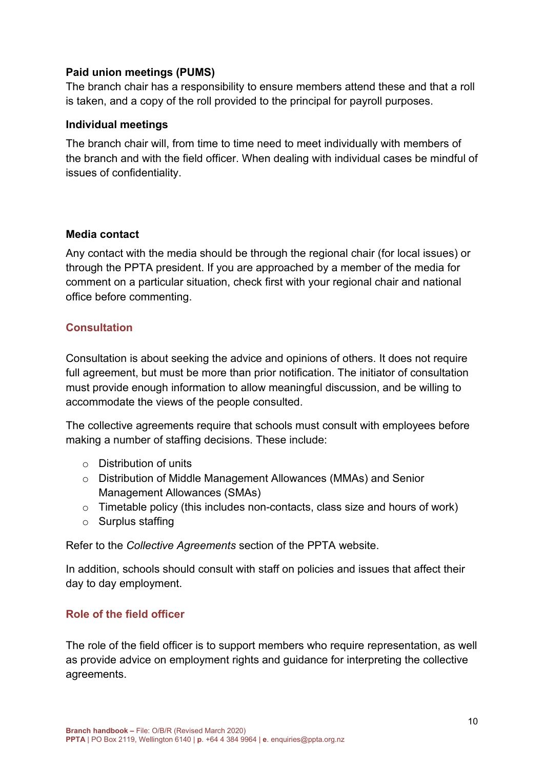### **Paid union meetings (PUMS)**

The branch chair has a responsibility to ensure members attend these and that a roll is taken, and a copy of the roll provided to the principal for payroll purposes.

### **Individual meetings**

The branch chair will, from time to time need to meet individually with members of the branch and with the field officer. When dealing with individual cases be mindful of issues of confidentiality.

### **Media contact**

Any contact with the media should be through the regional chair (for local issues) or through the PPTA president. If you are approached by a member of the media for comment on a particular situation, check first with your regional chair and national office before commenting.

### <span id="page-10-0"></span>**Consultation**

Consultation is about seeking the advice and opinions of others. It does not require full agreement, but must be more than prior notification. The initiator of consultation must provide enough information to allow meaningful discussion, and be willing to accommodate the views of the people consulted.

The collective agreements require that schools must consult with employees before making a number of staffing decisions. These include:

- o Distribution of units
- o Distribution of Middle Management Allowances (MMAs) and Senior Management Allowances (SMAs)
- $\circ$  Timetable policy (this includes non-contacts, class size and hours of work)
- o Surplus staffing

Refer to the *Collective Agreements* section of the PPTA website.

In addition, schools should consult with staff on policies and issues that affect their day to day employment.

### <span id="page-10-1"></span>**Role of the field officer**

The role of the field officer is to support members who require representation, as well as provide advice on employment rights and guidance for interpreting the collective agreements.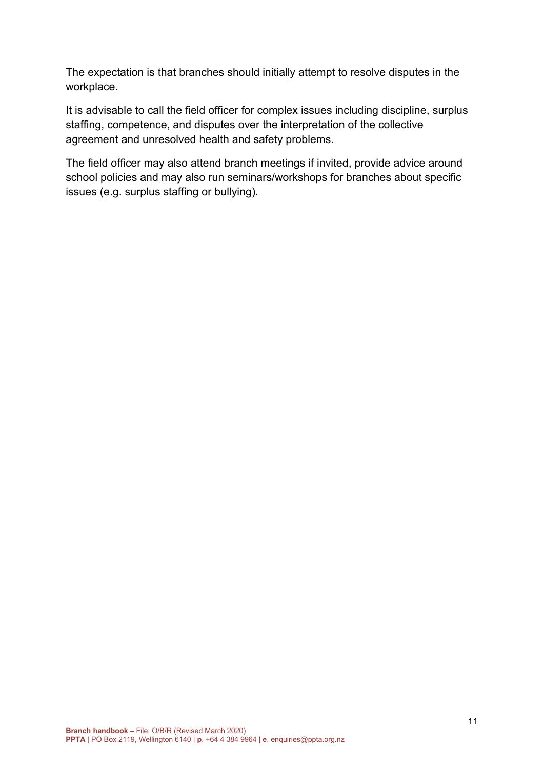The expectation is that branches should initially attempt to resolve disputes in the workplace.

It is advisable to call the field officer for complex issues including discipline, surplus staffing, competence, and disputes over the interpretation of the collective agreement and unresolved health and safety problems.

The field officer may also attend branch meetings if invited, provide advice around school policies and may also run seminars/workshops for branches about specific issues (e.g. surplus staffing or bullying).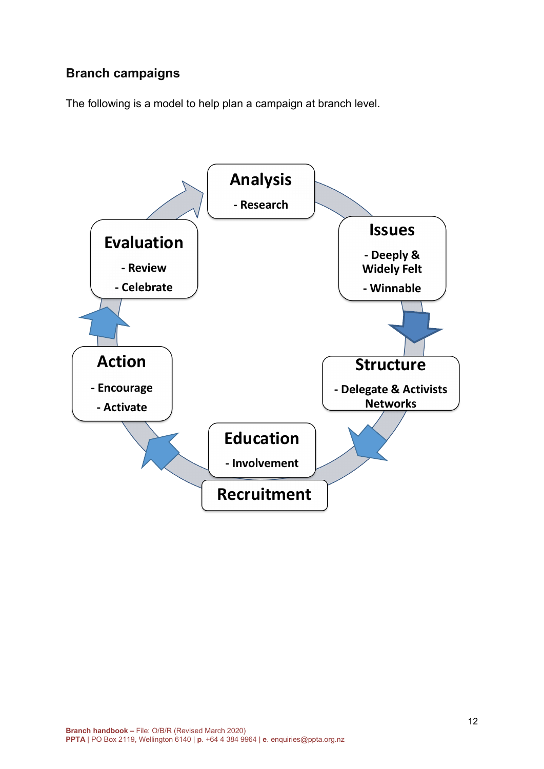# <span id="page-12-0"></span>**Branch campaigns**

The following is a model to help plan a campaign at branch level.

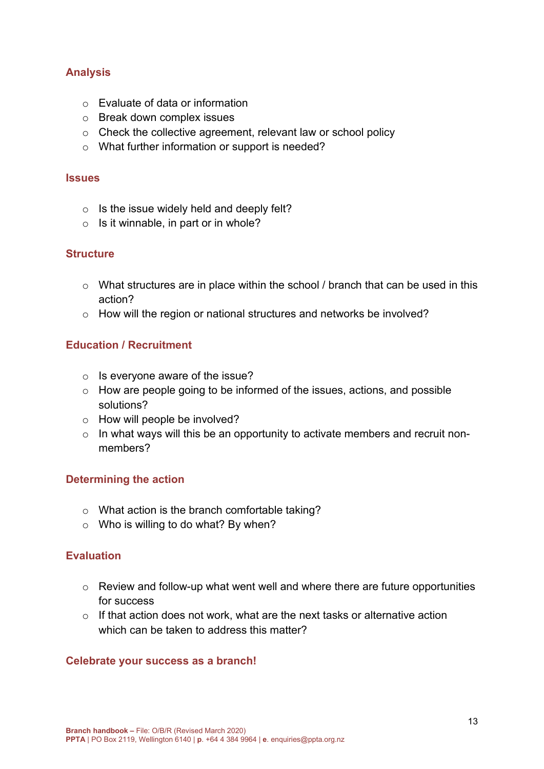# **Analysis**

- o Evaluate of data or information
- o Break down complex issues
- o Check the collective agreement, relevant law or school policy
- o What further information or support is needed?

#### **Issues**

- $\circ$  Is the issue widely held and deeply felt?
- $\circ$  Is it winnable, in part or in whole?

### **Structure**

- o What structures are in place within the school / branch that can be used in this action?
- o How will the region or national structures and networks be involved?

### **Education / Recruitment**

- $\circ$  Is everyone aware of the issue?
- o How are people going to be informed of the issues, actions, and possible solutions?
- o How will people be involved?
- $\circ$  In what ways will this be an opportunity to activate members and recruit nonmembers?

### **Determining the action**

- o What action is the branch comfortable taking?
- $\circ$  Who is willing to do what? By when?

### **Evaluation**

- o Review and follow-up what went well and where there are future opportunities for success
- $\circ$  If that action does not work, what are the next tasks or alternative action which can be taken to address this matter?

### **Celebrate your success as a branch!**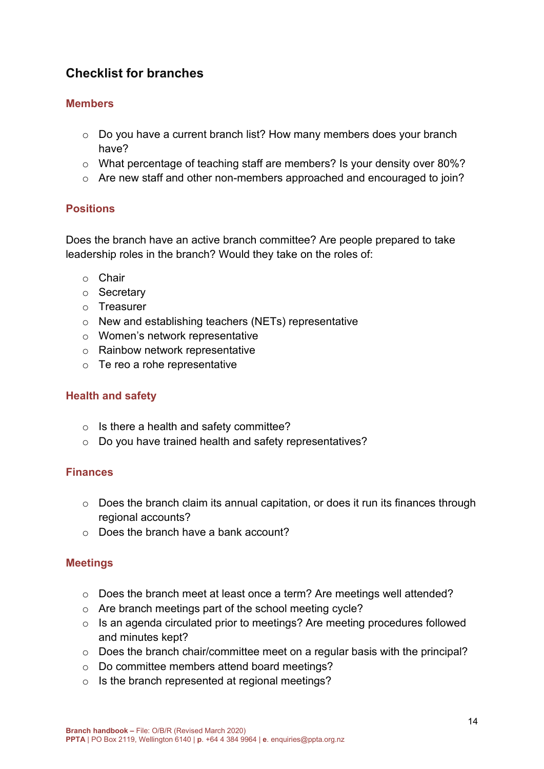# <span id="page-14-0"></span>**Checklist for branches**

### **Members**

- o Do you have a current branch list? How many members does your branch have?
- o What percentage of teaching staff are members? Is your density over 80%?
- o Are new staff and other non-members approached and encouraged to join?

### **Positions**

Does the branch have an active branch committee? Are people prepared to take leadership roles in the branch? Would they take on the roles of:

- o Chair
- o Secretary
- o Treasurer
- o New and establishing teachers (NETs) representative
- o Women's network representative
- o Rainbow network representative
- $\circ$  Te reo a rohe representative

### **Health and safety**

- $\circ$  Is there a health and safety committee?
- o Do you have trained health and safety representatives?

### **Finances**

- o Does the branch claim its annual capitation, or does it run its finances through regional accounts?
- o Does the branch have a bank account?

### **Meetings**

- o Does the branch meet at least once a term? Are meetings well attended?
- o Are branch meetings part of the school meeting cycle?
- o Is an agenda circulated prior to meetings? Are meeting procedures followed and minutes kept?
- o Does the branch chair/committee meet on a regular basis with the principal?
- o Do committee members attend board meetings?
- o Is the branch represented at regional meetings?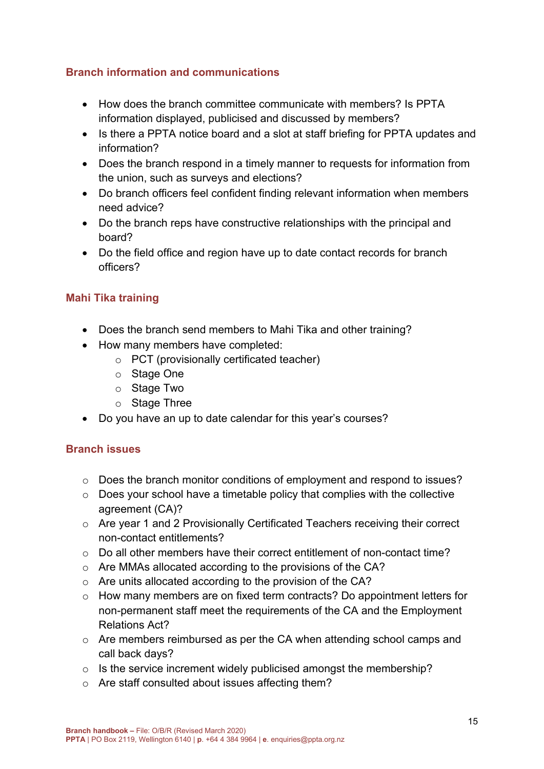## **Branch information and communications**

- How does the branch committee communicate with members? Is PPTA information displayed, publicised and discussed by members?
- Is there a PPTA notice board and a slot at staff briefing for PPTA updates and information?
- Does the branch respond in a timely manner to requests for information from the union, such as surveys and elections?
- Do branch officers feel confident finding relevant information when members need advice?
- Do the branch reps have constructive relationships with the principal and board?
- Do the field office and region have up to date contact records for branch officers?

# **Mahi Tika training**

- Does the branch send members to Mahi Tika and other training?
- How many members have completed:
	- o PCT (provisionally certificated teacher)
	- o Stage One
	- o Stage Two
	- o Stage Three
- Do you have an up to date calendar for this year's courses?

### <span id="page-15-0"></span>**Branch issues**

- o Does the branch monitor conditions of employment and respond to issues?
- $\circ$  Does your school have a timetable policy that complies with the collective agreement (CA)?
- o Are year 1 and 2 Provisionally Certificated Teachers receiving their correct non-contact entitlements?
- $\circ$  Do all other members have their correct entitlement of non-contact time?
- o Are MMAs allocated according to the provisions of the CA?
- o Are units allocated according to the provision of the CA?
- o How many members are on fixed term contracts? Do appointment letters for non-permanent staff meet the requirements of the CA and the Employment Relations Act?
- o Are members reimbursed as per the CA when attending school camps and call back days?
- $\circ$  Is the service increment widely publicised amongst the membership?
- o Are staff consulted about issues affecting them?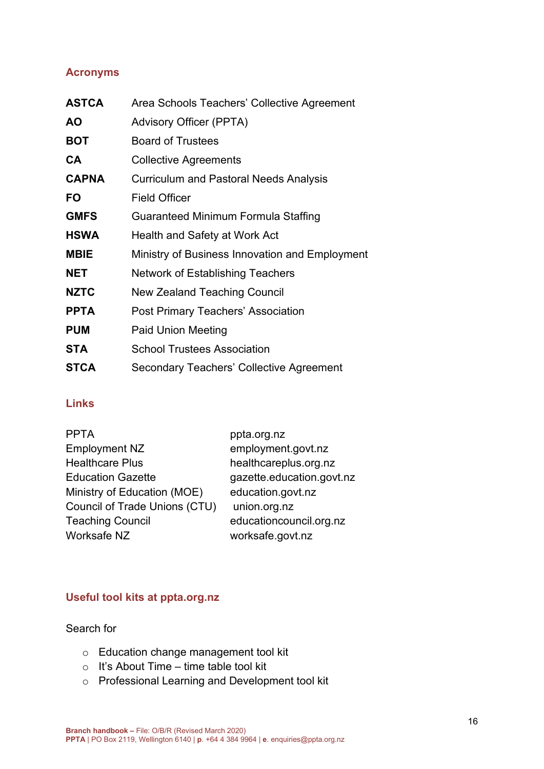## **Acronyms**

| Area Schools Teachers' Collective Agreement    |
|------------------------------------------------|
| <b>Advisory Officer (PPTA)</b>                 |
| <b>Board of Trustees</b>                       |
| <b>Collective Agreements</b>                   |
| <b>Curriculum and Pastoral Needs Analysis</b>  |
| <b>Field Officer</b>                           |
| Guaranteed Minimum Formula Staffing            |
| Health and Safety at Work Act                  |
| Ministry of Business Innovation and Employment |
| Network of Establishing Teachers               |
| New Zealand Teaching Council                   |
| Post Primary Teachers' Association             |
| <b>Paid Union Meeting</b>                      |
| <b>School Trustees Association</b>             |
| Secondary Teachers' Collective Agreement       |
|                                                |

### **Links**

| ppta.org.nz               |
|---------------------------|
| employment.govt.nz        |
| healthcareplus.org.nz     |
| gazette.education.govt.nz |
| education.govt.nz         |
| union.org.nz              |
| educationcouncil.org.nz   |
| worksafe.govt.nz          |
|                           |

## **Useful tool kits at ppta.org.nz**

Search for

- o Education change management tool kit
- o It's About Time time table tool kit
- o Professional Learning and Development tool kit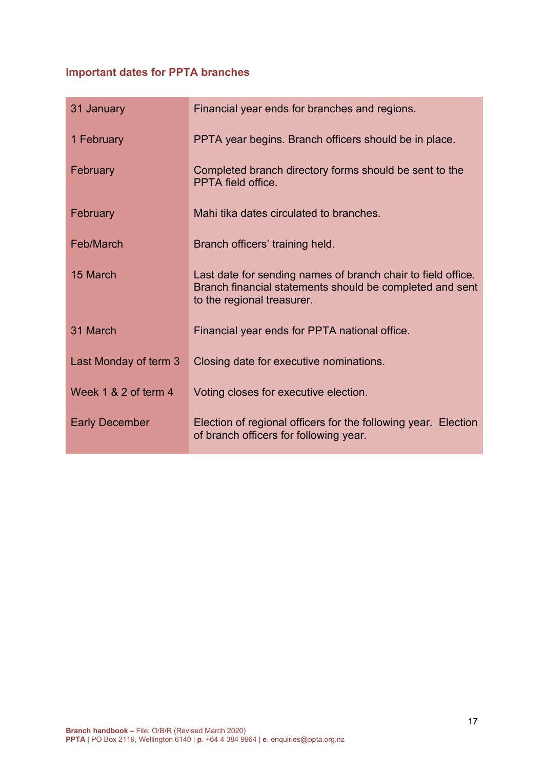# **Important dates for PPTA branches**

| 31 January            | Financial year ends for branches and regions.                                                                                                          |
|-----------------------|--------------------------------------------------------------------------------------------------------------------------------------------------------|
| 1 February            | PPTA year begins. Branch officers should be in place.                                                                                                  |
| February              | Completed branch directory forms should be sent to the<br>PPTA field office.                                                                           |
| February              | Mahi tika dates circulated to branches.                                                                                                                |
| Feb/March             | Branch officers' training held.                                                                                                                        |
| 15 March              | Last date for sending names of branch chair to field office.<br>Branch financial statements should be completed and sent<br>to the regional treasurer. |
| 31 March              | Financial year ends for PPTA national office.                                                                                                          |
| Last Monday of term 3 | Closing date for executive nominations.                                                                                                                |
| Week 1 & 2 of term 4  | Voting closes for executive election.                                                                                                                  |
| <b>Early December</b> | Election of regional officers for the following year. Election<br>of branch officers for following year.                                               |